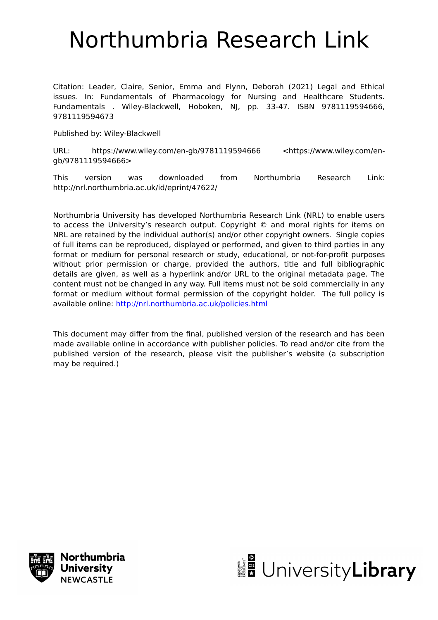# Northumbria Research Link

Citation: Leader, Claire, Senior, Emma and Flynn, Deborah (2021) Legal and Ethical issues. In: Fundamentals of Pharmacology for Nursing and Healthcare Students. Fundamentals . Wiley-Blackwell, Hoboken, NJ, pp. 33-47. ISBN 9781119594666, 9781119594673

Published by: Wiley-Blackwell

URL: https://www.wiley.com/en-gb/9781119594666 <https://www.wiley.com/engb/9781119594666>

This version was downloaded from Northumbria Research Link: http://nrl.northumbria.ac.uk/id/eprint/47622/

Northumbria University has developed Northumbria Research Link (NRL) to enable users to access the University's research output. Copyright © and moral rights for items on NRL are retained by the individual author(s) and/or other copyright owners. Single copies of full items can be reproduced, displayed or performed, and given to third parties in any format or medium for personal research or study, educational, or not-for-profit purposes without prior permission or charge, provided the authors, title and full bibliographic details are given, as well as a hyperlink and/or URL to the original metadata page. The content must not be changed in any way. Full items must not be sold commercially in any format or medium without formal permission of the copyright holder. The full policy is available online:<http://nrl.northumbria.ac.uk/policies.html>

This document may differ from the final, published version of the research and has been made available online in accordance with publisher policies. To read and/or cite from the published version of the research, please visit the publisher's website (a subscription may be required.)



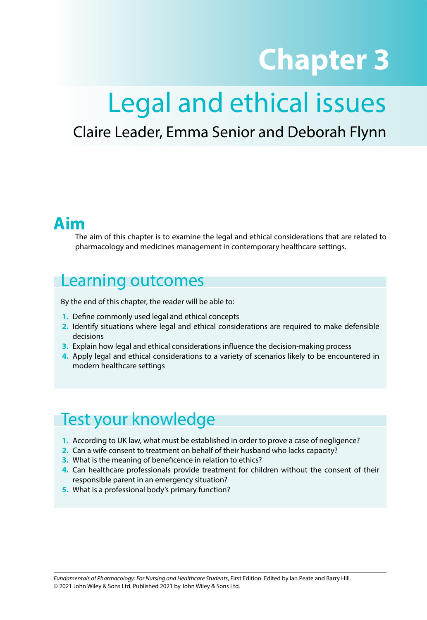# **Chapter 3**

# Legal and ethical issues

# Claire Leader, Emma Senior and Deborah Flynn

## **Aim**

The aim of this chapter is to examine the legal and ethical considerations that are related to pharmacology and medicines management in contemporary healthcare settings.

# Learning outcomes

By the end of this chapter, the reader will be able to:

- **1.** Define commonly used legal and ethical concepts
- **2.** Identify situations where legal and ethical considerations are required to make defensible decisions
- **3.** Explain how legal and ethical considerations influence the decision-making process
- **4.** Apply legal and ethical considerations to a variety of scenarios likely to be encountered in modern healthcare settings

# Test your knowledge

- **1.** According to UK law, what must be established in order to prove a case of negligence?
- **2.** Can a wife consent to treatment on behalf of their husband who lacks capacity?
- **3.** What is the meaning of beneficence in relation to ethics?
- **4.** Can healthcare professionals provide treatment for children without the consent of their responsible parent in an emergency situation?
- **5.** What is a professional body's primary function?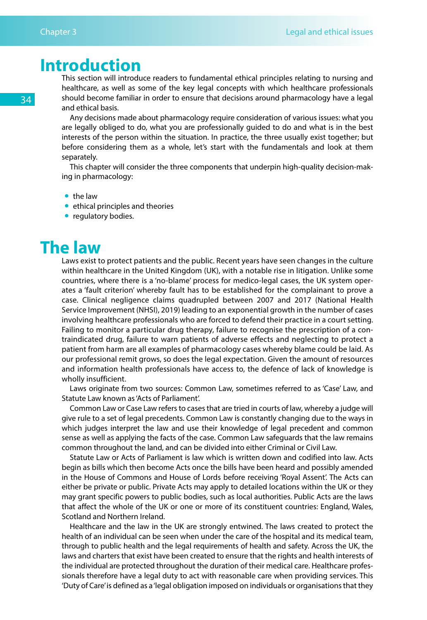#### **Introduction**

This section will introduce readers to fundamental ethical principles relating to nursing and healthcare, as well as some of the key legal concepts with which healthcare professionals should become familiar in order to ensure that decisions around pharmacology have a legal and ethical basis.

Any decisions made about pharmacology require consideration of various issues: what you are legally obliged to do, what you are professionally guided to do and what is in the best interests of the person within the situation. In practice, the three usually exist together; but before considering them as a whole, let's start with the fundamentals and look at them separately.

This chapter will consider the three components that underpin high-quality decision-making in pharmacology:

- the law
- ethical principles and theories
- regulatory bodies.

#### **The law**

Laws exist to protect patients and the public. Recent years have seen changes in the culture within healthcare in the United Kingdom (UK), with a notable rise in litigation. Unlike some countries, where there is a 'no-blame' process for medico-legal cases, the UK system operates a 'fault criterion' whereby fault has to be established for the complainant to prove a case. Clinical negligence claims quadrupled between 2007 and 2017 (National Health Service Improvement (NHSI), 2019) leading to an exponential growth in the number of cases involving healthcare professionals who are forced to defend their practice in a court setting. Failing to monitor a particular drug therapy, failure to recognise the prescription of a contraindicated drug, failure to warn patients of adverse effects and neglecting to protect a patient from harm are all examples of pharmacology cases whereby blame could be laid. As our professional remit grows, so does the legal expectation. Given the amount of resources and information health professionals have access to, the defence of lack of knowledge is wholly insufficient.

Laws originate from two sources: Common Law, sometimes referred to as 'Case' Law, and Statute Law known as 'Acts of Parliament'.

Common Law or Case Law refers to cases that are tried in courts of law, whereby a judge will give rule to a set of legal precedents. Common Law is constantly changing due to the ways in which judges interpret the law and use their knowledge of legal precedent and common sense as well as applying the facts of the case. Common Law safeguards that the law remains common throughout the land, and can be divided into either Criminal or Civil Law.

Statute Law or Acts of Parliament is law which is written down and codified into law. Acts begin as bills which then become Acts once the bills have been heard and possibly amended in the House of Commons and House of Lords before receiving 'Royal Assent'. The Acts can either be private or public. Private Acts may apply to detailed locations within the UK or they may grant specific powers to public bodies, such as local authorities. Public Acts are the laws that affect the whole of the UK or one or more of its constituent countries: England, Wales, Scotland and Northern Ireland.

Healthcare and the law in the UK are strongly entwined. The laws created to protect the health of an individual can be seen when under the care of the hospital and its medical team, through to public health and the legal requirements of health and safety. Across the UK, the laws and charters that exist have been created to ensure that the rights and health interests of the individual are protected throughout the duration of their medical care. Healthcare professionals therefore have a legal duty to act with reasonable care when providing services. This 'Duty of Care' is defined as a 'legal obligation imposed on individuals or organisations that they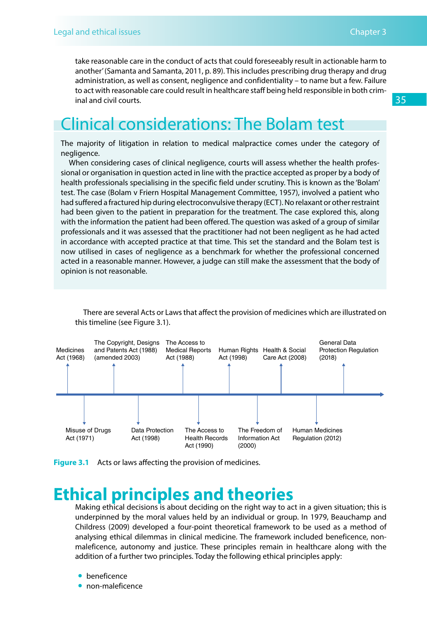# Clinical considerations: The Bolam test

The majority of litigation in relation to medical malpractice comes under the category of negligence.

When considering cases of clinical negligence, courts will assess whether the health professional or organisation in question acted in line with the practice accepted as proper by a body of health professionals specialising in the specific field under scrutiny. This is known as the 'Bolam' test. The case (Bolam v Friern Hospital Management Committee, 1957), involved a patient who had suffered a fractured hip during electroconvulsive therapy (ECT). No relaxant or other restraint had been given to the patient in preparation for the treatment. The case explored this, along with the information the patient had been offered. The question was asked of a group of similar professionals and it was assessed that the practitioner had not been negligent as he had acted in accordance with accepted practice at that time. This set the standard and the Bolam test is now utilised in cases of negligence as a benchmark for whether the professional concerned acted in a reasonable manner. However, a judge can still make the assessment that the body of opinion is not reasonable.

There are several Acts or Laws that affect the provision of medicines which are illustrated on this timeline (see Figure 3.1).



**Figure 3.1** Acts or laws affecting the provision of medicines.

### **Ethical principles and theories**

Making ethical decisions is about deciding on the right way to act in a given situation; this is underpinned by the moral values held by an individual or group. In 1979, Beauchamp and Childress (2009) developed a four-point theoretical framework to be used as a method of analysing ethical dilemmas in clinical medicine. The framework included beneficence, nonmaleficence, autonomy and justice. These principles remain in healthcare along with the addition of a further two principles. Today the following ethical principles apply:

- beneficence
- non-maleficence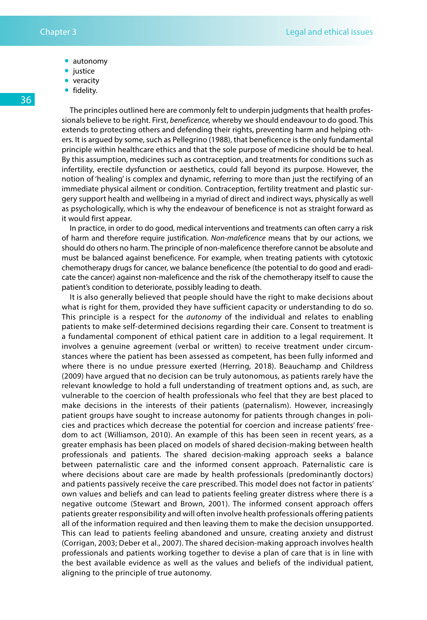- autonomy
- justice
- veracity
- fidelity.

The principles outlined here are commonly felt to underpin judgments that health professionals believe to be right. First, *beneficence,* whereby we should endeavour to do good. This extends to protecting others and defending their rights, preventing harm and helping others. It is argued by some, such as Pellegrino (1988), that beneficence is the only fundamental principle within healthcare ethics and that the sole purpose of medicine should be to heal. By this assumption, medicines such as contraception, and treatments for conditions such as infertility, erectile dysfunction or aesthetics, could fall beyond its purpose. However, the notion of 'healing' is complex and dynamic, referring to more than just the rectifying of an immediate physical ailment or condition. Contraception, fertility treatment and plastic surgery support health and wellbeing in a myriad of direct and indirect ways, physically as well as psychologically, which is why the endeavour of beneficence is not as straight forward as it would first appear.

In practice, in order to do good, medical interventions and treatments can often carry a risk of harm and therefore require justification. *Non-maleficence* means that by our actions, we should do others no harm. The principle of non-maleficence therefore cannot be absolute and must be balanced against beneficence. For example, when treating patients with cytotoxic chemotherapy drugs for cancer, we balance beneficence (the potential to do good and eradicate the cancer) against non-maleficence and the risk of the chemotherapy itself to cause the patient's condition to deteriorate, possibly leading to death.

It is also generally believed that people should have the right to make decisions about what is right for them, provided they have sufficient capacity or understanding to do so. This principle is a respect for the *autonomy* of the individual and relates to enabling patients to make self-determined decisions regarding their care. Consent to treatment is a fundamental component of ethical patient care in addition to a legal requirement. It involves a genuine agreement (verbal or written) to receive treatment under circumstances where the patient has been assessed as competent, has been fully informed and where there is no undue pressure exerted (Herring, 2018). Beauchamp and Childress (2009) have argued that no decision can be truly autonomous, as patients rarely have the relevant knowledge to hold a full understanding of treatment options and, as such, are vulnerable to the coercion of health professionals who feel that they are best placed to make decisions in the interests of their patients (paternalism). However, increasingly patient groups have sought to increase autonomy for patients through changes in policies and practices which decrease the potential for coercion and increase patients' freedom to act (Williamson, 2010). An example of this has been seen in recent years, as a greater emphasis has been placed on models of shared decision-making between health professionals and patients. The shared decision-making approach seeks a balance between paternalistic care and the informed consent approach. Paternalistic care is where decisions about care are made by health professionals (predominantly doctors) and patients passively receive the care prescribed. This model does not factor in patients' own values and beliefs and can lead to patients feeling greater distress where there is a negative outcome (Stewart and Brown, 2001). The informed consent approach offers patients greater responsibility and will often involve health professionals offering patients all of the information required and then leaving them to make the decision unsupported. This can lead to patients feeling abandoned and unsure, creating anxiety and distrust (Corrigan, 2003; Deber et al., 2007). The shared decision-making approach involves health professionals and patients working together to devise a plan of care that is in line with the best available evidence as well as the values and beliefs of the individual patient, aligning to the principle of true autonomy.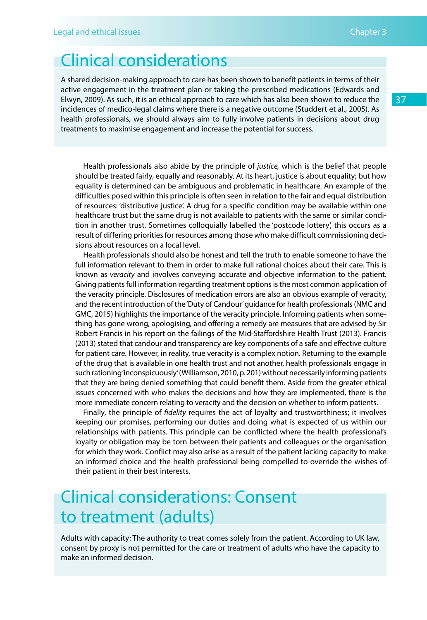#### Clinical considerations

A shared decision-making approach to care has been shown to benefit patients in terms of their active engagement in the treatment plan or taking the prescribed medications (Edwards and Elwyn, 2009). As such, it is an ethical approach to care which has also been shown to reduce the incidences of medico-legal claims where there is a negative outcome (Studdert et al., 2005). As health professionals, we should always aim to fully involve patients in decisions about drug treatments to maximise engagement and increase the potential for success.

Health professionals also abide by the principle of *justice,* which is the belief that people should be treated fairly, equally and reasonably. At its heart, justice is about equality; but how equality is determined can be ambiguous and problematic in healthcare. An example of the difficulties posed within this principle is often seen in relation to the fair and equal distribution of resources: 'distributive justice'. A drug for a specific condition may be available within one healthcare trust but the same drug is not available to patients with the same or similar condition in another trust. Sometimes colloquially labelled the 'postcode lottery', this occurs as a result of differing priorities for resources among those who make difficult commissioning decisions about resources on a local level.

Health professionals should also be honest and tell the truth to enable someone to have the full information relevant to them in order to make full rational choices about their care. This is known as *veracity* and involves conveying accurate and objective information to the patient. Giving patients full information regarding treatment options is the most common application of the veracity principle. Disclosures of medication errors are also an obvious example of veracity, and the recent introduction of the 'Duty of Candour' guidance for health professionals (NMC and GMC, 2015) highlights the importance of the veracity principle. Informing patients when something has gone wrong, apologising, and offering a remedy are measures that are advised by Sir Robert Francis in his report on the failings of the Mid-Staffordshire Health Trust (2013). Francis (2013) stated that candour and transparency are key components of a safe and effective culture for patient care. However, in reality, true veracity is a complex notion. Returning to the example of the drug that is available in one health trust and not another, health professionals engage in such rationing 'inconspicuously' (Williamson, 2010, p. 201) without necessarily informing patients that they are being denied something that could benefit them. Aside from the greater ethical issues concerned with who makes the decisions and how they are implemented, there is the more immediate concern relating to veracity and the decision on whether to inform patients.

Finally, the principle of *fidelity* requires the act of loyalty and trustworthiness; it involves keeping our promises, performing our duties and doing what is expected of us within our relationships with patients. This principle can be conflicted where the health professional's loyalty or obligation may be torn between their patients and colleagues or the organisation for which they work. Conflict may also arise as a result of the patient lacking capacity to make an informed choice and the health professional being compelled to override the wishes of their patient in their best interests.

# Clinical considerations: Consent to treatment (adults)

Adults with capacity: The authority to treat comes solely from the patient. According to UK law, consent by proxy is not permitted for the care or treatment of adults who have the capacity to make an informed decision.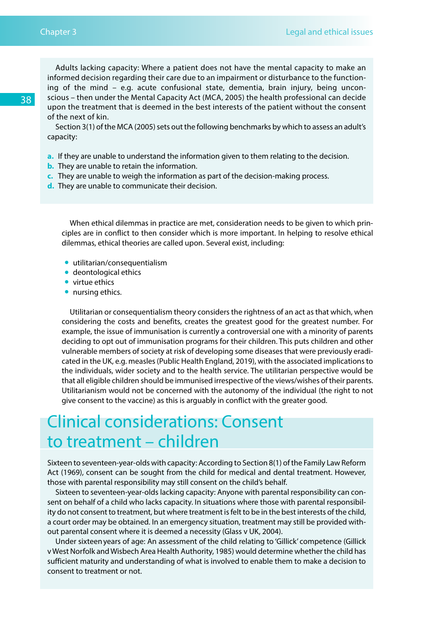Adults lacking capacity: Where a patient does not have the mental capacity to make an informed decision regarding their care due to an impairment or disturbance to the functioning of the mind – e.g. acute confusional state, dementia, brain injury, being unconscious – then under the Mental Capacity Act (MCA, 2005) the health professional can decide upon the treatment that is deemed in the best interests of the patient without the consent of the next of kin.

Section 3(1) of the MCA (2005) sets out the following benchmarks by which to assess an adult's capacity:

- **a.** If they are unable to understand the information given to them relating to the decision.
- **b.** They are unable to retain the information.
- **c.** They are unable to weigh the information as part of the decision-making process.
- **d.** They are unable to communicate their decision.

When ethical dilemmas in practice are met, consideration needs to be given to which principles are in conflict to then consider which is more important. In helping to resolve ethical dilemmas, ethical theories are called upon. Several exist, including:

- utilitarian/consequentialism
- deontological ethics
- virtue ethics
- nursing ethics.

Utilitarian or consequentialism theory considers the rightness of an act as that which, when considering the costs and benefits, creates the greatest good for the greatest number. For example, the issue of immunisation is currently a controversial one with a minority of parents deciding to opt out of immunisation programs for their children. This puts children and other vulnerable members of society at risk of developing some diseases that were previously eradicated in the UK, e.g. measles (Public Health England, 2019), with the associated implications to the individuals, wider society and to the health service. The utilitarian perspective would be that all eligible children should be immunised irrespective of the views/wishes of their parents. Utilitarianism would not be concerned with the autonomy of the individual (the right to not give consent to the vaccine) as this is arguably in conflict with the greater good.

# Clinical considerations: Consent to treatment – children

Sixteen to seventeen-year-olds with capacity: According to Section 8(1) of the Family Law Reform Act (1969), consent can be sought from the child for medical and dental treatment. However, those with parental responsibility may still consent on the child's behalf.

Sixteen to seventeen-year-olds lacking capacity: Anyone with parental responsibility can consent on behalf of a child who lacks capacity. In situations where those with parental responsibility do not consent to treatment, but where treatment is felt to be in the best interests of the child, a court order may be obtained. In an emergency situation, treatment may still be provided without parental consent where it is deemed a necessity (Glass v UK, 2004).

Under sixteenyears of age: An assessment of the child relating to 'Gillick' competence (Gillick v West Norfolk and Wisbech Area Health Authority, 1985) would determine whether the child has sufficient maturity and understanding of what is involved to enable them to make a decision to consent to treatment or not.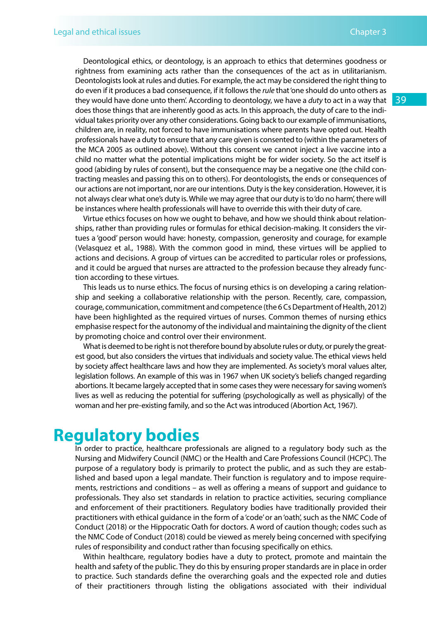Deontological ethics, or deontology, is an approach to ethics that determines goodness or rightness from examining acts rather than the consequences of the act as in utilitarianism. Deontologists look at rules and duties. For example, the act may be considered the right thing to do even if it produces a bad consequence, if it follows the *rule* that 'one should do unto others as they would have done unto them'. According to deontology, we have a *duty* to act in a way that does those things that are inherently good as acts. In this approach, the duty of care to the individual takes priority over any other considerations. Going back to our example of immunisations, children are, in reality, not forced to have immunisations where parents have opted out. Health professionals have a duty to ensure that any care given is consented to (within the parameters of the MCA 2005 as outlined above). Without this consent we cannot inject a live vaccine into a child no matter what the potential implications might be for wider society. So the act itself is good (abiding by rules of consent), but the consequence may be a negative one (the child contracting measles and passing this on to others). For deontologists, the ends or consequences of our actions are not important, nor are our intentions. Duty is the key consideration. However, it is not always clear what one's duty is. While we may agree that our duty is to 'do no harm', there will be instances where health professionals will have to override this with their duty of care.

Virtue ethics focuses on how we ought to behave, and how we should think about relationships, rather than providing rules or formulas for ethical decision-making. It considers the virtues a 'good' person would have: honesty, compassion, generosity and courage, for example (Velasquez et al., 1988). With the common good in mind, these virtues will be applied to actions and decisions. A group of virtues can be accredited to particular roles or professions, and it could be argued that nurses are attracted to the profession because they already function according to these virtues.

This leads us to nurse ethics. The focus of nursing ethics is on developing a caring relationship and seeking a collaborative relationship with the person. Recently, care, compassion, courage, communication, commitment and competence (the 6 Cs Department of Health, 2012) have been highlighted as the required virtues of nurses. Common themes of nursing ethics emphasise respect for the autonomy of the individual and maintaining the dignity of the client by promoting choice and control over their environment.

What is deemed to be right is not therefore bound by absolute rules or duty, or purely the greatest good, but also considers the virtues that individuals and society value. The ethical views held by society affect healthcare laws and how they are implemented. As society's moral values alter, legislation follows. An example of this was in 1967 when UK society's beliefs changed regarding abortions. It became largely accepted that in some cases they were necessary for saving women's lives as well as reducing the potential for suffering (psychologically as well as physically) of the woman and her pre-existing family, and so the Act was introduced (Abortion Act, 1967).

#### **Regulatory bodies**

In order to practice, healthcare professionals are aligned to a regulatory body such as the Nursing and Midwifery Council (NMC) or the Health and Care Professions Council (HCPC). The purpose of a regulatory body is primarily to protect the public, and as such they are established and based upon a legal mandate. Their function is regulatory and to impose requirements, restrictions and conditions – as well as offering a means of support and guidance to professionals. They also set standards in relation to practice activities, securing compliance and enforcement of their practitioners. Regulatory bodies have traditionally provided their practitioners with ethical guidance in the form of a 'code' or an 'oath', such as the NMC Code of Conduct (2018) or the Hippocratic Oath for doctors. A word of caution though; codes such as the NMC Code of Conduct (2018) could be viewed as merely being concerned with specifying rules of responsibility and conduct rather than focusing specifically on ethics.

Within healthcare, regulatory bodies have a duty to protect, promote and maintain the health and safety of the public. They do this by ensuring proper standards are in place in order to practice. Such standards define the overarching goals and the expected role and duties of their practitioners through listing the obligations associated with their individual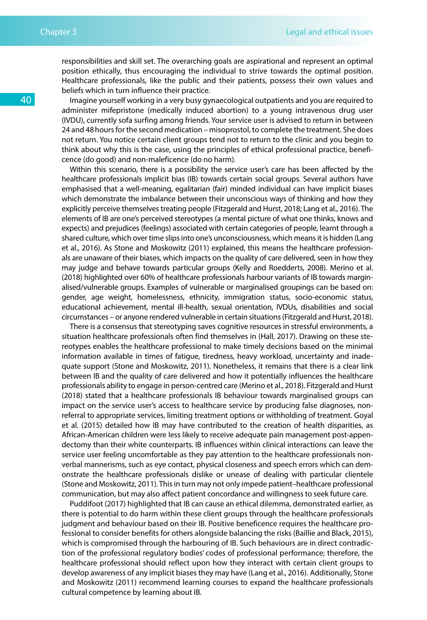responsibilities and skill set. The overarching goals are aspirational and represent an optimal position ethically, thus encouraging the individual to strive towards the optimal position. Healthcare professionals, like the public and their patients, possess their own values and beliefs which in turn influence their practice.

Imagine yourself working in a very busy gynaecological outpatients and you are required to administer mifepristone (medically induced abortion) to a young intravenous drug user (IVDU), currently sofa surfing among friends. Your service user is advised to return in between 24 and 48hours for the second medication – misoprostol, to complete the treatment. She does not return. You notice certain client groups tend not to return to the clinic and you begin to think about why this is the case, using the principles of ethical professional practice, beneficence (do good) and non-maleficence (do no harm).

Within this scenario, there is a possibility the service user's care has been affected by the healthcare professionals implicit bias (IB) towards certain social groups. Several authors have emphasised that a well-meaning, egalitarian (fair) minded individual can have implicit biases which demonstrate the imbalance between their unconscious ways of thinking and how they explicitly perceive themselves treating people (Fitzgerald and Hurst, 2018; Lang et al., 2016). The elements of IB are one's perceived stereotypes (a mental picture of what one thinks, knows and expects) and prejudices (feelings) associated with certain categories of people, learnt through a shared culture, which over time slips into one's unconsciousness, which means it is hidden (Lang et al., 2016). As Stone and Moskowitz (2011) explained, this means the healthcare professionals are unaware of their biases, which impacts on the quality of care delivered, seen in how they may judge and behave towards particular groups (Kelly and Roedderts, 2008). Merino et al. (2018) highlighted over 60% of healthcare professionals harbour variants of IB towards marginalised/vulnerable groups. Examples of vulnerable or marginalised groupings can be based on: gender, age weight, homelessness, ethnicity, immigration status, socio-economic status, educational achievement, mental ill-health, sexual orientation, IVDUs, disabilities and social circumstances – or anyone rendered vulnerable in certain situations (Fitzgerald and Hurst, 2018).

There is a consensus that stereotyping saves cognitive resources in stressful environments, a situation healthcare professionals often find themselves in (Hall, 2017). Drawing on these stereotypes enables the healthcare professional to make timely decisions based on the minimal information available in times of fatigue, tiredness, heavy workload, uncertainty and inadequate support (Stone and Moskowitz, 2011). Nonetheless, it remains that there is a clear link between IB and the quality of care delivered and how it potentially influences the healthcare professionals ability to engage in person-centred care (Merino et al., 2018). Fitzgerald and Hurst (2018) stated that a healthcare professionals IB behaviour towards marginalised groups can impact on the service user's access to healthcare service by producing false diagnoses, nonreferral to appropriate services, limiting treatment options or withholding of treatment. Goyal et al. (2015) detailed how IB may have contributed to the creation of health disparities, as African-American children were less likely to receive adequate pain management post-appendectomy than their white counterparts. IB influences within clinical interactions can leave the service user feeling uncomfortable as they pay attention to the healthcare professionals nonverbal mannerisms, such as eye contact, physical closeness and speech errors which can demonstrate the healthcare professionals dislike or unease of dealing with particular clientele (Stone and Moskowitz, 2011). This in turn may not only impede patient–healthcare professional communication, but may also affect patient concordance and willingness to seek future care.

Puddifoot (2017) highlighted that IB can cause an ethical dilemma, demonstrated earlier, as there is potential to do harm within these client groups through the healthcare professionals judgment and behaviour based on their IB. Positive beneficence requires the healthcare professional to consider benefits for others alongside balancing the risks (Baillie and Black, 2015), which is compromised through the harbouring of IB. Such behaviours are in direct contradiction of the professional regulatory bodies' codes of professional performance; therefore, the healthcare professional should reflect upon how they interact with certain client groups to develop awareness of any implicit biases they may have (Lang et al., 2016). Additionally, Stone and Moskowitz (2011) recommend learning courses to expand the healthcare professionals cultural competence by learning about IB.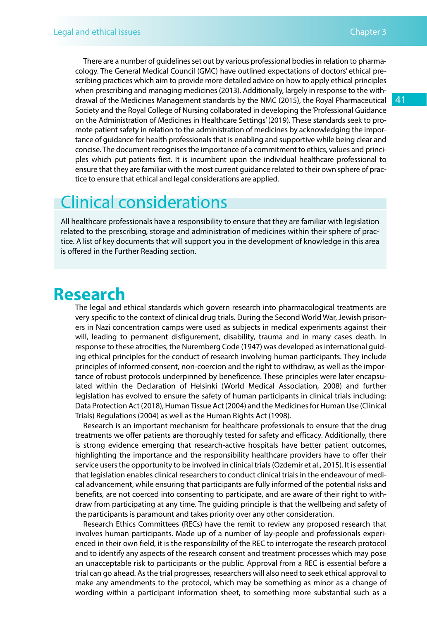There are a number of guidelines set out by various professional bodies in relation to pharmacology. The General Medical Council (GMC) have outlined expectations of doctors' ethical prescribing practices which aim to provide more detailed advice on how to apply ethical principles when prescribing and managing medicines (2013). Additionally, largely in response to the withdrawal of the Medicines Management standards by the NMC (2015), the Royal Pharmaceutical Society and the Royal College of Nursing collaborated in developing the 'Professional Guidance on the Administration of Medicines in Healthcare Settings' (2019). These standards seek to promote patient safety in relation to the administration of medicines by acknowledging the importance of guidance for health professionals that is enabling and supportive while being clear and concise. The document recognises the importance of a commitment to ethics, values and principles which put patients first. It is incumbent upon the individual healthcare professional to ensure that they are familiar with the most current guidance related to their own sphere of practice to ensure that ethical and legal considerations are applied.

### Clinical considerations

All healthcare professionals have a responsibility to ensure that they are familiar with legislation related to the prescribing, storage and administration of medicines within their sphere of practice. A list of key documents that will support you in the development of knowledge in this area is offered in the Further Reading section.

#### **Research**

The legal and ethical standards which govern research into pharmacological treatments are very specific to the context of clinical drug trials. During the Second World War, Jewish prisoners in Nazi concentration camps were used as subjects in medical experiments against their will, leading to permanent disfigurement, disability, trauma and in many cases death. In response to these atrocities, the Nuremberg Code (1947) was developed as international guiding ethical principles for the conduct of research involving human participants. They include principles of informed consent, non-coercion and the right to withdraw, as well as the importance of robust protocols underpinned by beneficence. These principles were later encapsulated within the Declaration of Helsinki (World Medical Association, 2008) and further legislation has evolved to ensure the safety of human participants in clinical trials including: Data Protection Act (2018), Human Tissue Act (2004) and the Medicines for Human Use (Clinical Trials) Regulations (2004) as well as the Human Rights Act (1998).

Research is an important mechanism for healthcare professionals to ensure that the drug treatments we offer patients are thoroughly tested for safety and efficacy. Additionally, there is strong evidence emerging that research-active hospitals have better patient outcomes, highlighting the importance and the responsibility healthcare providers have to offer their service users the opportunity to be involved in clinical trials (Ozdemir et al., 2015). It is essential that legislation enables clinical researchers to conduct clinical trials in the endeavour of medical advancement, while ensuring that participants are fully informed of the potential risks and benefits, are not coerced into consenting to participate, and are aware of their right to withdraw from participating at any time. The guiding principle is that the wellbeing and safety of the participants is paramount and takes priority over any other consideration.

Research Ethics Committees (RECs) have the remit to review any proposed research that involves human participants. Made up of a number of lay-people and professionals experienced in their own field, it is the responsibility of the REC to interrogate the research protocol and to identify any aspects of the research consent and treatment processes which may pose an unacceptable risk to participants or the public. Approval from a REC is essential before a trial can go ahead. As the trial progresses, researchers will also need to seek ethical approval to make any amendments to the protocol, which may be something as minor as a change of wording within a participant information sheet, to something more substantial such as a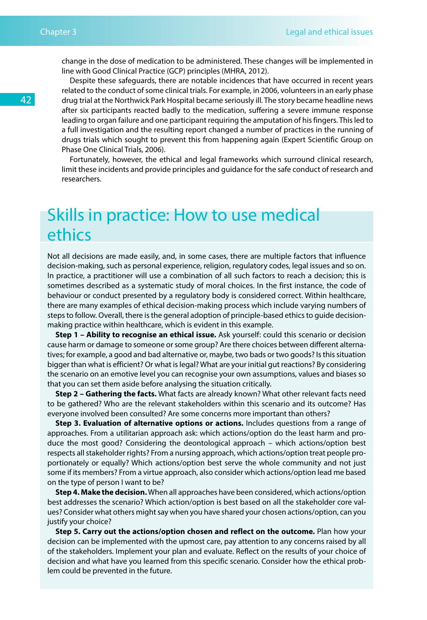change in the dose of medication to be administered. These changes will be implemented in line with Good Clinical Practice (GCP) principles (MHRA, 2012).

Despite these safeguards, there are notable incidences that have occurred in recent years related to the conduct of some clinical trials. For example, in 2006, volunteers in an early phase drug trial at the Northwick Park Hospital became seriously ill. The story became headline news after six participants reacted badly to the medication, suffering a severe immune response leading to organ failure and one participant requiring the amputation of his fingers. This led to a full investigation and the resulting report changed a number of practices in the running of drugs trials which sought to prevent this from happening again (Expert Scientific Group on Phase One Clinical Trials, 2006).

Fortunately, however, the ethical and legal frameworks which surround clinical research, limit these incidents and provide principles and guidance for the safe conduct of research and researchers.

### Skills in practice: How to use medical ethics

Not all decisions are made easily, and, in some cases, there are multiple factors that influence decision-making, such as personal experience, religion, regulatory codes, legal issues and so on. In practice, a practitioner will use a combination of all such factors to reach a decision; this is sometimes described as a systematic study of moral choices. In the first instance, the code of behaviour or conduct presented by a regulatory body is considered correct. Within healthcare, there are many examples of ethical decision-making process which include varying numbers of steps to follow. Overall, there is the general adoption of principle-based ethics to guide decisionmaking practice within healthcare, which is evident in this example.

**Step 1 – Ability to recognise an ethical issue.** Ask yourself: could this scenario or decision cause harm or damage to someone or some group? Are there choices between different alternatives; for example, a good and bad alternative or, maybe, two bads or two goods? Is this situation bigger than what is efficient? Or what is legal? What are your initial gut reactions? By considering the scenario on an emotive level you can recognise your own assumptions, values and biases so that you can set them aside before analysing the situation critically.

**Step 2 – Gathering the facts.** What facts are already known? What other relevant facts need to be gathered? Who are the relevant stakeholders within this scenario and its outcome? Has everyone involved been consulted? Are some concerns more important than others?

**Step 3. Evaluation of alternative options or actions.** Includes questions from a range of approaches. From a utilitarian approach ask: which actions/option do the least harm and produce the most good? Considering the deontological approach – which actions/option best respects all stakeholder rights? From a nursing approach, which actions/option treat people proportionately or equally? Which actions/option best serve the whole community and not just some if its members? From a virtue approach, also consider which actions/option lead me based on the type of person I want to be?

**Step 4. Make the decision.** When all approaches have been considered, which actions/option best addresses the scenario? Which action/option is best based on all the stakeholder core values? Consider what others might say when you have shared your chosen actions/option, can you justify your choice?

**Step 5. Carry out the actions/option chosen and reflect on the outcome.** Plan how your decision can be implemented with the upmost care, pay attention to any concerns raised by all of the stakeholders. Implement your plan and evaluate. Reflect on the results of your choice of decision and what have you learned from this specific scenario. Consider how the ethical problem could be prevented in the future.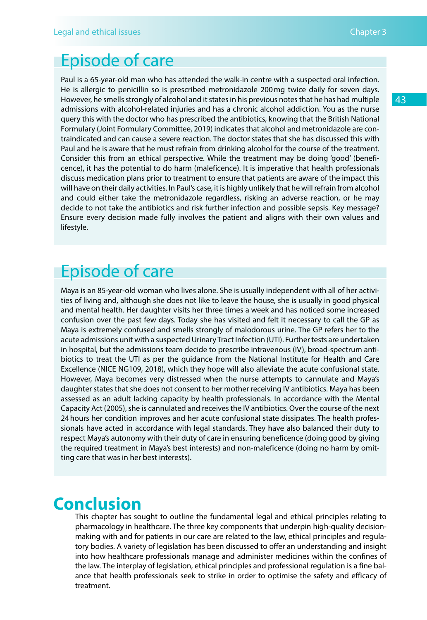#### Episode of care

Paul is a 65-year-old man who has attended the walk-in centre with a suspected oral infection. He is allergic to penicillin so is prescribed metronidazole 200mg twice daily for seven days. However, he smells strongly of alcohol and it states in his previous notes that he has had multiple admissions with alcohol-related injuries and has a chronic alcohol addiction. You as the nurse query this with the doctor who has prescribed the antibiotics, knowing that the British National Formulary (Joint Formulary Committee, 2019) indicates that alcohol and metronidazole are contraindicated and can cause a severe reaction. The doctor states that she has discussed this with Paul and he is aware that he must refrain from drinking alcohol for the course of the treatment. Consider this from an ethical perspective. While the treatment may be doing 'good' (beneficence), it has the potential to do harm (maleficence). It is imperative that health professionals discuss medication plans prior to treatment to ensure that patients are aware of the impact this will have on their daily activities. In Paul's case, it is highly unlikely that he will refrain from alcohol and could either take the metronidazole regardless, risking an adverse reaction, or he may decide to not take the antibiotics and risk further infection and possible sepsis. Key message? Ensure every decision made fully involves the patient and aligns with their own values and lifestyle.

### Episode of care

Maya is an 85-year-old woman who lives alone. She is usually independent with all of her activities of living and, although she does not like to leave the house, she is usually in good physical and mental health. Her daughter visits her three times a week and has noticed some increased confusion over the past few days. Today she has visited and felt it necessary to call the GP as Maya is extremely confused and smells strongly of malodorous urine. The GP refers her to the acute admissions unit with a suspected Urinary Tract Infection (UTI). Further tests are undertaken in hospital, but the admissions team decide to prescribe intravenous (IV), broad-spectrum antibiotics to treat the UTI as per the guidance from the National Institute for Health and Care Excellence (NICE NG109, 2018), which they hope will also alleviate the acute confusional state. However, Maya becomes very distressed when the nurse attempts to cannulate and Maya's daughter states that she does not consent to her mother receiving IV antibiotics. Maya has been assessed as an adult lacking capacity by health professionals. In accordance with the Mental Capacity Act (2005), she is cannulated and receives the IV antibiotics. Over the course of the next 24hours her condition improves and her acute confusional state dissipates. The health professionals have acted in accordance with legal standards. They have also balanced their duty to respect Maya's autonomy with their duty of care in ensuring beneficence (doing good by giving the required treatment in Maya's best interests) and non-maleficence (doing no harm by omitting care that was in her best interests).

#### **Conclusion**

This chapter has sought to outline the fundamental legal and ethical principles relating to pharmacology in healthcare. The three key components that underpin high-quality decisionmaking with and for patients in our care are related to the law, ethical principles and regulatory bodies. A variety of legislation has been discussed to offer an understanding and insight into how healthcare professionals manage and administer medicines within the confines of the law. The interplay of legislation, ethical principles and professional regulation is a fine balance that health professionals seek to strike in order to optimise the safety and efficacy of treatment.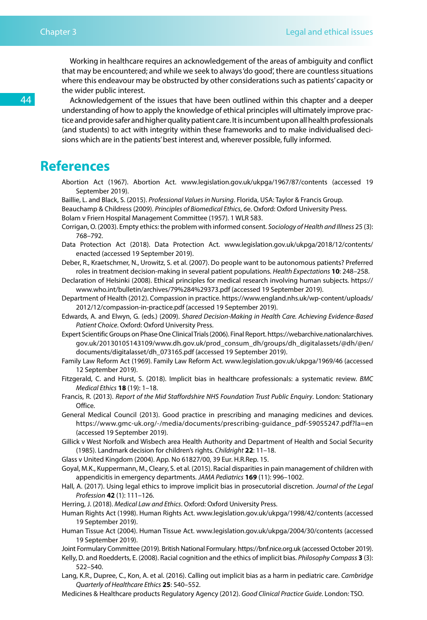Working in healthcare requires an acknowledgement of the areas of ambiguity and conflict that may be encountered; and while we seek to always 'do good', there are countless situations where this endeavour may be obstructed by other considerations such as patients' capacity or the wider public interest.

Acknowledgement of the issues that have been outlined within this chapter and a deeper understanding of how to apply the knowledge of ethical principles will ultimately improve practice and provide safer and higher quality patient care. It is incumbent upon all health professionals (and students) to act with integrity within these frameworks and to make individualised decisions which are in the patients' best interest and, wherever possible, fully informed.

#### **References**

Abortion Act (1967). Abortion Act. [www.legislation.gov.uk/ukpga/1967/87/contents](http://www.legislation.gov.uk/ukpga/1967/87/contents) (accessed 19 September 2019).

Baillie, L. and Black, S. (2015). *Professional Values in Nursing*. Florida, USA: Taylor & Francis Group. Beauchamp & Childress (2009). *Principles of Biomedical Ethics*, *6*e. Oxford: Oxford University Press. Bolam v Friern Hospital Management Committee (1957). 1 WLR 583.

- Corrigan, O. (2003). Empty ethics: the problem with informed consent. *Sociology of Health and Illness* 25 (3): 768–792.
- Data Protection Act (2018). Data Protection Act. [www.legislation.gov.uk/ukpga/2018/12/contents/](http://www.legislation.gov.uk/ukpga/2018/12/contents/enacted) [enacted](http://www.legislation.gov.uk/ukpga/2018/12/contents/enacted) (accessed 19 September 2019).

Deber, R., Kraetschmer, N., Urowitz, S. et al. (2007). Do people want to be autonomous patients? Preferred roles in treatment decision-making in several patient populations. *Health Expectations* **10**: 248–258.

- Declaration of Helsinki (2008). Ethical principles for medical research involving human subjects. [https://](https://www.who.int/bulletin/archives/79(4)373.pdf) [www.who.int/bulletin/archives/79%284%29373.pdf](https://www.who.int/bulletin/archives/79(4)373.pdf) (accessed 19 September 2019).
- Department of Health (2012). Compassion in practice. [https://www.england.nhs.uk/wp-content/uploads/](https://www.england.nhs.uk/wp-content/uploads/2012/12/compassion-in-practice.pdf) [2012/12/compassion-in-practice.pdf](https://www.england.nhs.uk/wp-content/uploads/2012/12/compassion-in-practice.pdf) (accessed 19 September 2019).
- Edwards, A. and Elwyn, G. (eds.) (2009). *Shared Decision-Making in Health Care. Achieving Evidence-Based Patient Choice*. Oxford: Oxford University Press.
- Expert Scientific Groups on Phase One Clinical Trials (2006). Final Report. [https://webarchive.nationalarchives.](https://webarchive.nationalarchives.gov.uk/20130105143109/http://www.dh.gov.uk/prod_consum_dh/groups/dh_digitalassets/@dh/@en/documents/digitalasset/dh_073165.pdf) [gov.uk/20130105143109/www.dh.gov.uk/prod\\_consum\\_dh/groups/dh\\_digitalassets/@dh/@en/](https://webarchive.nationalarchives.gov.uk/20130105143109/http://www.dh.gov.uk/prod_consum_dh/groups/dh_digitalassets/@dh/@en/documents/digitalasset/dh_073165.pdf) [documents/digitalasset/dh\\_073165.pdf](https://webarchive.nationalarchives.gov.uk/20130105143109/http://www.dh.gov.uk/prod_consum_dh/groups/dh_digitalassets/@dh/@en/documents/digitalasset/dh_073165.pdf) (accessed 19 September 2019).
- Family Law Reform Act (1969). Family Law Reform Act. [www.legislation.gov.uk/ukpga/1969/46](https://www.legislation.gov.uk/ukpga/1969/46) (accessed 12 September 2019).
- Fitzgerald, C. and Hurst, S. (2018). Implicit bias in healthcare professionals: a systematic review. *BMC Medical Ethics* **18** (19): 1–18.
- Francis, R. (2013). *Report of the Mid Staffordshire NHS Foundation Trust Public Enquiry*. London: Stationary **Office**
- General Medical Council (2013). Good practice in prescribing and managing medicines and devices. [https://www.gmc-uk.org/-/media/documents/prescribing-guidance\\_pdf-59055247.pdf?la=en](https://www.gmc-uk.org/-/media/documents/prescribing-guidance_pdf-59055247.pdf?la=en)  (accessed 19 September 2019).
- Gillick v West Norfolk and Wisbech area Health Authority and Department of Health and Social Security (1985). Landmark decision for children's rights. *Childright* **22**: 11–18.

Glass v United Kingdom (2004). App. No 61827/00, 39 Eur. H.R.Rep. 15.

- Goyal, M.K., Kuppermann, M., Cleary, S. et al. (2015). Racial disparities in pain management of children with appendicitis in emergency departments. *JAMA Pediatrics* **169** (11): 996–1002.
- Hall, A. (2017). Using legal ethics to improve implicit bias in prosecutorial discretion. *Journal of the Legal Profession* **42** (1): 111–126.
- Herring, J. (2018). *Medical Law and Ethics*. Oxford: Oxford University Press.
- Human Rights Act (1998). Human Rights Act. [www.legislation.gov.uk/ukpga/1998/42/contents](http://www.legislation.gov.uk/ukpga/1998/42/contents) (accessed 19 September 2019).
- Human Tissue Act (2004). Human Tissue Act. [www.legislation.gov.uk/ukpga/2004/30/contents](http://www.legislation.gov.uk/ukpga/2004/30/contents) (accessed 19 September 2019).
- Joint Formulary Committee (2019). British National Formulary.<https://bnf.nice.org.uk> (accessed October 2019).
- Kelly, D. and Roedderts, E. (2008). Racial cognition and the ethics of implicit bias. *Philosophy Compass* **3** (3): 522–540.
- Lang, K.R., Dupree, C., Kon, A. et al. (2016). Calling out implicit bias as a harm in pediatric care. *Cambridge Quarterly of Healthcare Ethics* **25**: 540–552.
- Medicines & Healthcare products Regulatory Agency (2012). *Good Clinical Practice Guide*. London: TSO.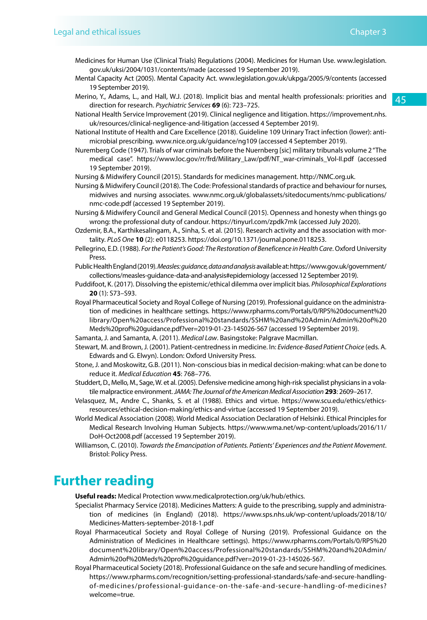- Medicines for Human Use (Clinical Trials) Regulations (2004). Medicines for Human Use. [www.legislation.](http://www.legislation.gov.uk/uksi/2004/1031/contents/made) [gov.uk/uksi/2004/1031/contents/made](http://www.legislation.gov.uk/uksi/2004/1031/contents/made) (accessed 19 September 2019).
- Mental Capacity Act (2005). Mental Capacity Act. [www.legislation.gov.uk/ukpga/2005/9/contents](http://www.legislation.gov.uk/ukpga/2005/9/contents) (accessed 19 September 2019).
- Merino, Y., Adams, L., and Hall, W.J. (2018). Implicit bias and mental health professionals: priorities and direction for research. *Psychiatric Services* **69** (6): 723–725.
- National Health Service Improvement (2019). Clinical negligence and litigation. [https://improvement.nhs.](https://improvement.nhs.uk/resources/clinical-negligence-and-litigation/) [uk/resources/clinical-negligence-and-litigation](https://improvement.nhs.uk/resources/clinical-negligence-and-litigation/) (accessed 4 September 2019).
- National Institute of Health and Care Excellence (2018). Guideline 109 Urinary Tract infection (lower): antimicrobial prescribing. [www.nice.org.uk/guidance/ng109](https://www.nice.org.uk/guidance/ng109) (accessed 4 September 2019).
- Nuremberg Code (1947). Trials of war criminals before the Nuernberg [sic] military tribunals volume 2 "The medical case". [https://www.loc.gov/rr/frd/Military\\_Law/pdf/NT\\_war-criminals\\_Vol-II.pdf](https://www.loc.gov/rr/frd/Military_Law/pdf/NT_war-criminals_Vol-II.pdf) (accessed 19 September 2019).

Nursing & Midwifery Council (2015). Standards for medicines management. [http://NMC.org.uk.](http://nmc.org.uk/)

- Nursing & Midwifery Council (2018). The Code: Professional standards of practice and behaviour for nurses, midwives and nursing associates. [www.nmc.org.uk/globalassets/sitedocuments/nmc-publications/](https://www.nmc.org.uk/globalassets/sitedocuments/nmc-publications/nmc-code.pdf) [nmc-code.pdf](https://www.nmc.org.uk/globalassets/sitedocuments/nmc-publications/nmc-code.pdf) (accessed 19 September 2019).
- Nursing & Midwifery Council and General Medical Council (2015). Openness and honesty when things go wrong: the professional duty of candour.<https://tinyurl.com/zpdk7mk> (accessed July 2020).
- Ozdemir, B.A., Karthikesalingam, A., Sinha, S. et al. (2015). Research activity and the association with mortality. *PLoS One* **10** (2): e0118253.<https://doi.org/10.1371/journal.pone.0118253>.
- Pellegrino, E.D. (1988). *For the Patient's Good: The Restoration of Beneficence in Health Care*. Oxford University **Press**
- Public Health England (2019). *Measles: guidance, data and analysis* available at: [https://www.gov.uk/government/](https://www.gov.uk/government/collections/measles-guidance-data-and-analysis#epidemiology) [collections/measles-guidance-data-and-analysis#epidemiology](https://www.gov.uk/government/collections/measles-guidance-data-and-analysis#epidemiology) (accessed 12 September 2019).
- Puddifoot, K. (2017). Dissolving the epistemic/ethical dilemma over implicit bias. *Philosophical Explorations* **20** (1): S73–S93.
- Royal Pharmaceutical Society and Royal College of Nursing (2019). Professional guidance on the administration of medicines in healthcare settings. [https://www.rpharms.com/Portals/0/RPS%20document%20](https://www.rpharms.com/Portals/0/RPS document library/Open access/Professional standards/SSHM and Admin/Admin of Meds prof guidance.pdf?ver=2019-01-23-145026-567) [library/Open%20access/Professional%20standards/SSHM%20and%20Admin/Admin%20of%20](https://www.rpharms.com/Portals/0/RPS document library/Open access/Professional standards/SSHM and Admin/Admin of Meds prof guidance.pdf?ver=2019-01-23-145026-567) [Meds%20prof%20guidance.pdf?ver=2019-01-23-145026-567 \(](https://www.rpharms.com/Portals/0/RPS document library/Open access/Professional standards/SSHM and Admin/Admin of Meds prof guidance.pdf?ver=2019-01-23-145026-567)accessed 19 September 2019).
- Samanta, J. and Samanta, A. (2011). *Medical Law*. Basingstoke: Palgrave Macmillan.
- Stewart, M. and Brown, J. (2001). Patient-centredness in medicine. In: *Evidence-Based Patient Choice* (eds. A. Edwards and G. Elwyn). London: Oxford University Press.
- Stone, J. and Moskowitz, G.B. (2011). Non-conscious bias in medical decision-making: what can be done to reduce it. *Medical Education* **45**: 768–776.
- Studdert, D., Mello, M., Sage, W. et al. (2005). Defensive medicine among high-risk specialist physicians in a volatile malpractice environment. *JAMA: The Journal of the American Medical Association* **293**: 2609–2617.
- Velasquez, M., Andre C., Shanks, S. et al (1988). Ethics and virtue. [https://www.scu.edu/ethics/ethics](https://www.scu.edu/ethics/ethics-resources/ethical-decision-making/ethics-and-virtue/)[resources/ethical-decision-making/ethics-and-virtue](https://www.scu.edu/ethics/ethics-resources/ethical-decision-making/ethics-and-virtue/) (accessed 19 September 2019).
- World Medical Association (2008). World Medical Association Declaration of Helsinki. Ethical Principles for Medical Research Involving Human Subjects. https://www.wma.net/wp-content/uploads/2016/11/ DoH-Oct2008.pdf (accessed 19 September 2019).
- Williamson, C. (2010). *Towards the Emancipation of Patients. Patients' Experiences and the Patient Movement*. Bristol: Policy Press.

#### **Further reading**

**Useful reads:** [Medical Protection www.medicalprotection.org/uk/hub/ethics](https://www.medicalprotection.org/uk/hub/ethics).

- Specialist Pharmacy Service (2018). Medicines Matters: A guide to the prescribing, supply and administration of medicines (in England) (2018). [https://www.sps.nhs.uk/wp-content/uploads/2018/10/](https://www.sps.nhs.uk/wp-content/uploads/2018/10/Medicines-Matters-september-2018-1.pdf) [Medicines-Matters-september-2018-1.pdf](https://www.sps.nhs.uk/wp-content/uploads/2018/10/Medicines-Matters-september-2018-1.pdf)
- Royal Pharmaceutical Society and Royal College of Nursing (2019). Professional Guidance on the Administration of Medicines in Healthcare settings). [https://www.rpharms.com/Portals/0/RPS%20](https://www.rpharms.com/Portals/0/RPS document library/Open access/Professional standards/SSHM and Admin/Admin of Meds prof guidance.pdf?ver=2019-01-23-145026-567) [document%20library/Open%20access/Professional%20standards/SSHM%20and%20Admin/](https://www.rpharms.com/Portals/0/RPS document library/Open access/Professional standards/SSHM and Admin/Admin of Meds prof guidance.pdf?ver=2019-01-23-145026-567) [Admin%20of%20Meds%20prof%20guidance.pdf?ver=2019-01-23-145026-567](https://www.rpharms.com/Portals/0/RPS document library/Open access/Professional standards/SSHM and Admin/Admin of Meds prof guidance.pdf?ver=2019-01-23-145026-567).
- Royal Pharmaceutical Society (2018). Professional Guidance on the safe and secure handling of medicines. [https://www.rpharms.com/recognition/setting-professional-standards/safe-and-secure-handling](https://www.rpharms.com/recognition/setting-professional-standards/safe-and-secure-handling-of-medicines/professional-guidance-on-the-safe-and-secure-handling-of-medicines?welcome=true)[of-medicines/professional-guidance-on-the-safe-and-secure-handling-of-medicines?](https://www.rpharms.com/recognition/setting-professional-standards/safe-and-secure-handling-of-medicines/professional-guidance-on-the-safe-and-secure-handling-of-medicines?welcome=true) [welcome=true.](https://www.rpharms.com/recognition/setting-professional-standards/safe-and-secure-handling-of-medicines/professional-guidance-on-the-safe-and-secure-handling-of-medicines?welcome=true)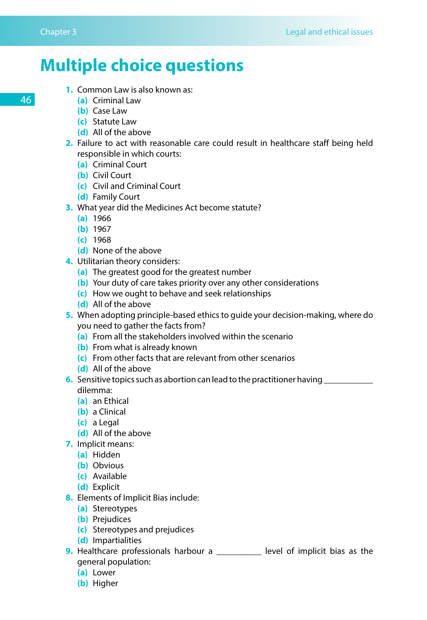46

# **Multiple choice questions**

- **1.** Common Law is also known as:
	- **(a)** Criminal Law
	- **(b)** Case Law
	- **(c)** Statute Law
	- **(d)** All of the above
- **2.** Failure to act with reasonable care could result in healthcare staff being held responsible in which courts:
	- **(a)** Criminal Court
	- **(b)** Civil Court
	- **(c)** Civil and Criminal Court
	- **(d)** Family Court
- **3.** What year did the Medicines Act become statute?
	- **(a)** 1966
	- **(b)** 1967
	- **(c)** 1968
	- **(d)** None of the above
- **4.** Utilitarian theory considers:
	- **(a)** The greatest good for the greatest number
	- **(b)** Your duty of care takes priority over any other considerations
	- **(c)** How we ought to behave and seek relationships
	- **(d)** All of the above
- **5.** When adopting principle-based ethics to guide your decision-making, where do you need to gather the facts from?
	- **(a)** From all the stakeholders involved within the scenario
	- **(b)** From what is already known
	- **(c)** From other facts that are relevant from other scenarios
	- **(d)** All of the above
- **6.** Sensitive topics such as abortion can lead to the practitioner having \_\_\_\_\_\_\_\_\_\_\_ dilemma:
	- **(a)** an Ethical
	- **(b)** a Clinical
	- **(c)** a Legal
	- **(d)** All of the above
- **7.** Implicit means:
	- **(a)** Hidden
	- **(b)** Obvious
	- **(c)** Available
	- **(d)** Explicit
- **8.** Elements of Implicit Bias include:
	- **(a)** Stereotypes
	- **(b)** Prejudices
	- **(c)** Stereotypes and prejudices
	- **(d)** Impartialities
- **9.** Healthcare professionals harbour a **Same School** level of implicit bias as the general population:
	- **(a)** Lower
	- **(b)** Higher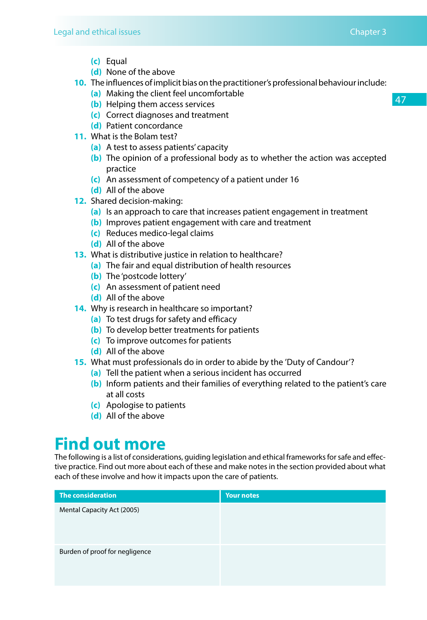- **(c)** Equal
- **(d)** None of the above
- **10.** The influences of implicit bias on the practitioner's professional behaviour include:
	- **(a)** Making the client feel uncomfortable
	- **(b)** Helping them access services
	- **(c)** Correct diagnoses and treatment
	- **(d)** Patient concordance
- **11.** What is the Bolam test?
	- **(a)** A test to assess patients' capacity
	- **(b)** The opinion of a professional body as to whether the action was accepted practice
	- **(c)** An assessment of competency of a patient under 16
	- **(d)** All of the above
- **12.** Shared decision-making:
	- **(a)** Is an approach to care that increases patient engagement in treatment
	- **(b)** Improves patient engagement with care and treatment
	- **(c)** Reduces medico-legal claims
	- **(d)** All of the above
- **13.** What is distributive justice in relation to healthcare?
	- **(a)** The fair and equal distribution of health resources
	- **(b)** The 'postcode lottery'
	- **(c)** An assessment of patient need
	- **(d)** All of the above
- **14.** Why is research in healthcare so important?
	- **(a)** To test drugs for safety and efficacy
	- **(b)** To develop better treatments for patients
	- **(c)** To improve outcomes for patients
	- **(d)** All of the above
- **15.** What must professionals do in order to abide by the 'Duty of Candour'?
	- **(a)** Tell the patient when a serious incident has occurred
	- **(b)** Inform patients and their families of everything related to the patient's care at all costs
	- **(c)** Apologise to patients
	- **(d)** All of the above

# **Find out more**

The following is a list of considerations, guiding legislation and ethical frameworks for safe and effective practice. Find out more about each of these and make notes in the section provided about what each of these involve and how it impacts upon the care of patients.

| <b>The consideration</b>       | <b>Your notes</b> |
|--------------------------------|-------------------|
| Mental Capacity Act (2005)     |                   |
| Burden of proof for negligence |                   |

47